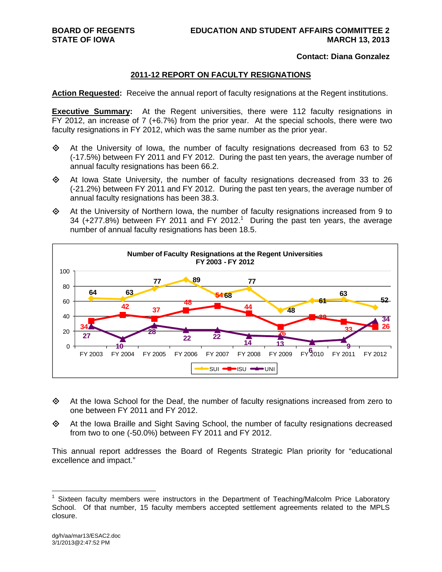### **Contact: Diana Gonzalez**

### **2011-12 REPORT ON FACULTY RESIGNATIONS**

**Action Requested:** Receive the annual report of faculty resignations at the Regent institutions.

**Executive Summary:** At the Regent universities, there were 112 faculty resignations in FY 2012, an increase of 7 (+6.7%) from the prior year. At the special schools, there were two faculty resignations in FY 2012, which was the same number as the prior year.

- $\Diamond$  At the University of Iowa, the number of faculty resignations decreased from 63 to 52 (-17.5%) between FY 2011 and FY 2012. During the past ten years, the average number of annual faculty resignations has been 66.2.
- $\Diamond$  At Iowa State University, the number of faculty resignations decreased from 33 to 26 (-21.2%) between FY 2011 and FY 2012. During the past ten years, the average number of annual faculty resignations has been 38.3.
- $\Leftrightarrow$  At the University of Northern Iowa, the number of faculty resignations increased from 9 to 34 ( $+277.8%$ ) between FY 2011 and FY 2012.<sup>1</sup> During the past ten years, the average number of annual faculty resignations has been 18.5.



- At the Iowa School for the Deaf, the number of faculty resignations increased from zero to one between FY 2011 and FY 2012.
- At the Iowa Braille and Sight Saving School, the number of faculty resignations decreased from two to one (-50.0%) between FY 2011 and FY 2012.

This annual report addresses the Board of Regents Strategic Plan priority for "educational excellence and impact."

<sup>&</sup>lt;sup>1</sup> Sixteen faculty members were instructors in the Department of Teaching/Malcolm Price Laboratory School. Of that number, 15 faculty members accepted settlement agreements related to the MPLS closure.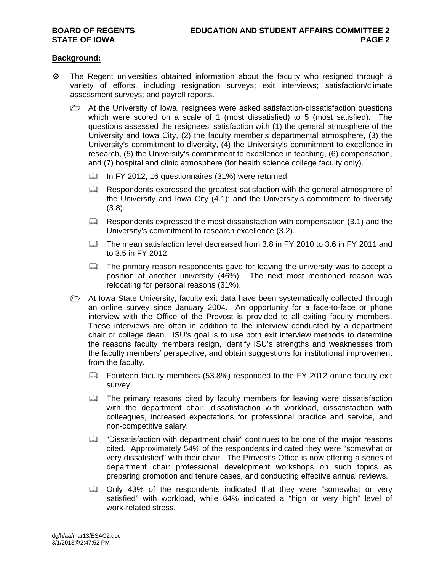### **Background:**

- $\diamond$  The Regent universities obtained information about the faculty who resigned through a variety of efforts, including resignation surveys; exit interviews; satisfaction/climate assessment surveys; and payroll reports.
	- $\triangleright$  At the University of Iowa, resignees were asked satisfaction-dissatisfaction questions which were scored on a scale of 1 (most dissatisfied) to 5 (most satisfied). The questions assessed the resignees' satisfaction with (1) the general atmosphere of the University and Iowa City, (2) the faculty member's departmental atmosphere, (3) the University's commitment to diversity, (4) the University's commitment to excellence in research, (5) the University's commitment to excellence in teaching, (6) compensation, and (7) hospital and clinic atmosphere (for health science college faculty only).
		- In FY 2012, 16 questionnaires (31%) were returned.
		- Respondents expressed the greatest satisfaction with the general atmosphere of the University and Iowa City (4.1); and the University's commitment to diversity (3.8).
		- $\Box$  Respondents expressed the most dissatisfaction with compensation (3.1) and the University's commitment to research excellence (3.2).
		- The mean satisfaction level decreased from 3.8 in FY 2010 to 3.6 in FY 2011 and to 3.5 in FY 2012.
		- $\Box$  The primary reason respondents gave for leaving the university was to accept a position at another university (46%). The next most mentioned reason was relocating for personal reasons (31%).
	- $\triangleright$  At Iowa State University, faculty exit data have been systematically collected through an online survey since January 2004. An opportunity for a face-to-face or phone interview with the Office of the Provost is provided to all exiting faculty members. These interviews are often in addition to the interview conducted by a department chair or college dean. ISU's goal is to use both exit interview methods to determine the reasons faculty members resign, identify ISU's strengths and weaknesses from the faculty members' perspective, and obtain suggestions for institutional improvement from the faculty.
		- $\Box$  Fourteen faculty members (53.8%) responded to the FY 2012 online faculty exit survey.
		- $\Box$  The primary reasons cited by faculty members for leaving were dissatisfaction with the department chair, dissatisfaction with workload, dissatisfaction with colleagues, increased expectations for professional practice and service, and non-competitive salary.
		- $\Box$  "Dissatisfaction with department chair" continues to be one of the major reasons cited. Approximately 54% of the respondents indicated they were "somewhat or very dissatisfied" with their chair. The Provost's Office is now offering a series of department chair professional development workshops on such topics as preparing promotion and tenure cases, and conducting effective annual reviews.
		- Only 43% of the respondents indicated that they were "somewhat or very satisfied" with workload, while 64% indicated a "high or very high" level of work-related stress.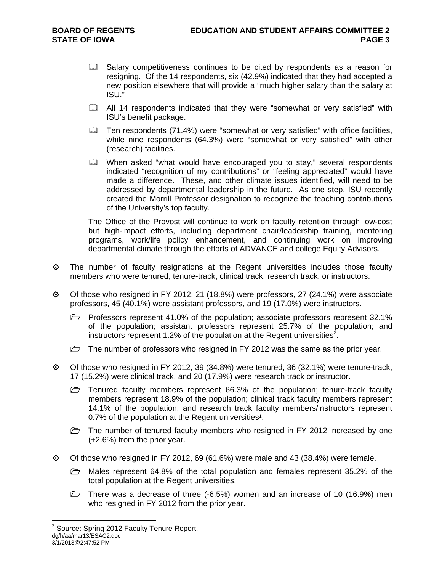- **Example 1** Salary competitiveness continues to be cited by respondents as a reason for resigning. Of the 14 respondents, six (42.9%) indicated that they had accepted a new position elsewhere that will provide a "much higher salary than the salary at ISU."
- All 14 respondents indicated that they were "somewhat or very satisfied" with ISU's benefit package.
- **Example 15 Ten respondents (71.4%) were "somewhat or very satisfied" with office facilities,** while nine respondents (64.3%) were "somewhat or very satisfied" with other (research) facilities.
- When asked "what would have encouraged you to stay," several respondents indicated "recognition of my contributions" or "feeling appreciated" would have made a difference. These, and other climate issues identified, will need to be addressed by departmental leadership in the future. As one step, ISU recently created the Morrill Professor designation to recognize the teaching contributions of the University's top faculty.

The Office of the Provost will continue to work on faculty retention through low-cost but high-impact efforts, including department chair/leadership training, mentoring programs, work/life policy enhancement, and continuing work on improving departmental climate through the efforts of ADVANCE and college Equity Advisors.

- $\Leftrightarrow$  The number of faculty resignations at the Regent universities includes those faculty members who were tenured, tenure-track, clinical track, research track, or instructors.
- Of those who resigned in FY 2012, 21 (18.8%) were professors, 27 (24.1%) were associate professors, 45 (40.1%) were assistant professors, and 19 (17.0%) were instructors.
	- Professors represent 41.0% of the population; associate professors represent 32.1% of the population; assistant professors represent 25.7% of the population; and instructors represent 1.2% of the population at the Regent universities<sup>2</sup>.
	- $\triangleright$  The number of professors who resigned in FY 2012 was the same as the prior year.
- $\diamond$  Of those who resigned in FY 2012, 39 (34.8%) were tenured, 36 (32.1%) were tenure-track, 17 (15.2%) were clinical track, and 20 (17.9%) were research track or instructor.
	- $\triangleright$  Tenured faculty members represent 66.3% of the population; tenure-track faculty members represent 18.9% of the population; clinical track faculty members represent 14.1% of the population; and research track faculty members/instructors represent 0.7% of the population at the Regent universities<sup>1</sup>.
	- $\triangleright$  The number of tenured faculty members who resigned in FY 2012 increased by one (+2.6%) from the prior year.
- $\Diamond$  Of those who resigned in FY 2012, 69 (61.6%) were male and 43 (38.4%) were female.
	- $\triangleright$  Males represent 64.8% of the total population and females represent 35.2% of the total population at the Regent universities.
	- There was a decrease of three (-6.5%) women and an increase of 10 (16.9%) men who resigned in FY 2012 from the prior year.

dg/h/aa/mar13/ESAC2.doc 3/1/2013@2:47:52 PM  $2$  Source: Spring 2012 Faculty Tenure Report.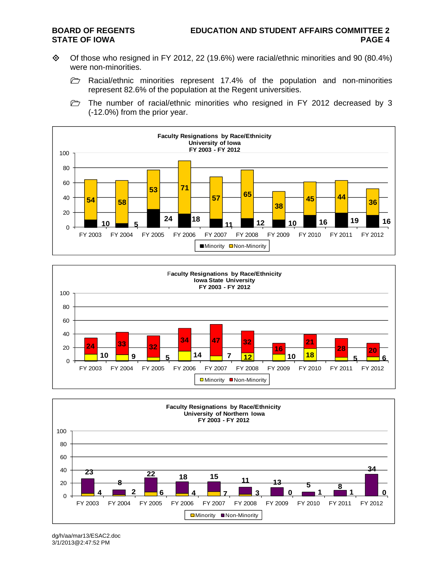- Of those who resigned in FY 2012, 22 (19.6%) were racial/ethnic minorities and 90 (80.4%) were non-minorities.
	- $\triangleright$  Racial/ethnic minorities represent 17.4% of the population and non-minorities represent 82.6% of the population at the Regent universities.
	- $\triangleright$  The number of racial/ethnic minorities who resigned in FY 2012 decreased by 3 (-12.0%) from the prior year.







dg/h/aa/mar13/ESAC2.doc 3/1/2013@2:47:52 PM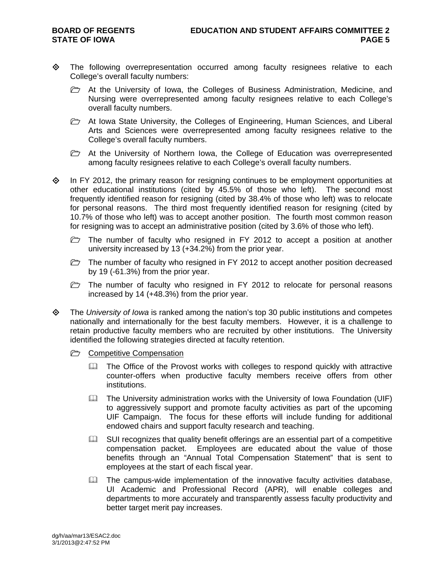- The following overrepresentation occurred among faculty resignees relative to each College's overall faculty numbers:
	- $\triangleright$  At the University of Iowa, the Colleges of Business Administration, Medicine, and Nursing were overrepresented among faculty resignees relative to each College's overall faculty numbers.
	- At Iowa State University, the Colleges of Engineering, Human Sciences, and Liberal Arts and Sciences were overrepresented among faculty resignees relative to the College's overall faculty numbers.
	- $\triangleright$  At the University of Northern Iowa, the College of Education was overrepresented among faculty resignees relative to each College's overall faculty numbers.
- $\Diamond$  In FY 2012, the primary reason for resigning continues to be employment opportunities at other educational institutions (cited by 45.5% of those who left). The second most frequently identified reason for resigning (cited by 38.4% of those who left) was to relocate for personal reasons. The third most frequently identified reason for resigning (cited by 10.7% of those who left) was to accept another position. The fourth most common reason for resigning was to accept an administrative position (cited by 3.6% of those who left).
	- $\triangleright$  The number of faculty who resigned in FY 2012 to accept a position at another university increased by 13 (+34.2%) from the prior year.
	- $\triangleright$  The number of faculty who resigned in FY 2012 to accept another position decreased by 19 (-61.3%) from the prior year.
	- $\triangleright$  The number of faculty who resigned in FY 2012 to relocate for personal reasons increased by 14 (+48.3%) from the prior year.
- The *University of Iowa* is ranked among the nation's top 30 public institutions and competes nationally and internationally for the best faculty members. However, it is a challenge to retain productive faculty members who are recruited by other institutions. The University identified the following strategies directed at faculty retention.
	- **C** Competitive Compensation
		- **Example 20 The Office of the Provost works with colleges to respond quickly with attractive** counter-offers when productive faculty members receive offers from other institutions.
		- $\Box$  The University administration works with the University of Iowa Foundation (UIF) to aggressively support and promote faculty activities as part of the upcoming UIF Campaign. The focus for these efforts will include funding for additional endowed chairs and support faculty research and teaching.
		- $\Box$  SUI recognizes that quality benefit offerings are an essential part of a competitive compensation packet. Employees are educated about the value of those benefits through an "Annual Total Compensation Statement" that is sent to employees at the start of each fiscal year.
		- $\Box$  The campus-wide implementation of the innovative faculty activities database, UI Academic and Professional Record (APR), will enable colleges and departments to more accurately and transparently assess faculty productivity and better target merit pay increases.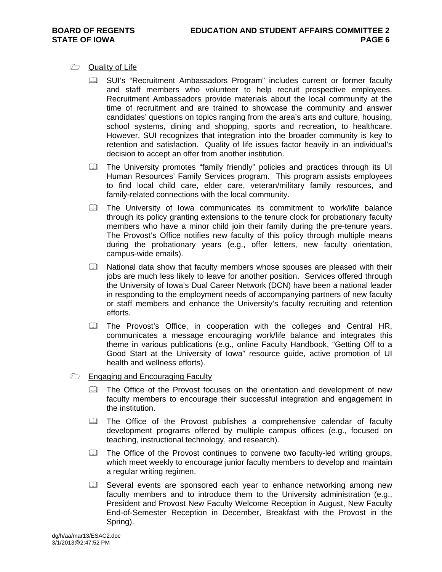- **Quality of Life** 
	- **Comparent SUI's "Recruitment Ambassadors Program" includes current or former faculty** and staff members who volunteer to help recruit prospective employees. Recruitment Ambassadors provide materials about the local community at the time of recruitment and are trained to showcase the community and answer candidates' questions on topics ranging from the area's arts and culture, housing, school systems, dining and shopping, sports and recreation, to healthcare. However, SUI recognizes that integration into the broader community is key to retention and satisfaction. Quality of life issues factor heavily in an individual's decision to accept an offer from another institution.
	- The University promotes "family friendly" policies and practices through its UI Human Resources' Family Services program. This program assists employees to find local child care, elder care, veteran/military family resources, and family-related connections with the local community.
	- **Example 2** The University of Iowa communicates its commitment to work/life balance through its policy granting extensions to the tenure clock for probationary faculty members who have a minor child join their family during the pre-tenure years. The Provost's Office notifies new faculty of this policy through multiple means during the probationary years (e.g., offer letters, new faculty orientation, campus-wide emails).
	- National data show that faculty members whose spouses are pleased with their jobs are much less likely to leave for another position. Services offered through the University of Iowa's Dual Career Network (DCN) have been a national leader in responding to the employment needs of accompanying partners of new faculty or staff members and enhance the University's faculty recruiting and retention efforts.
	- **E. The Provost's Office, in cooperation with the colleges and Central HR,** communicates a message encouraging work/life balance and integrates this theme in various publications (e.g., online Faculty Handbook, "Getting Off to a Good Start at the University of Iowa" resource guide, active promotion of UI health and wellness efforts).
- $\Box$  Engaging and Encouraging Faculty
	- The Office of the Provost focuses on the orientation and development of new faculty members to encourage their successful integration and engagement in the institution.
	- The Office of the Provost publishes a comprehensive calendar of faculty development programs offered by multiple campus offices (e.g., focused on teaching, instructional technology, and research).
	- $\Box$  The Office of the Provost continues to convene two faculty-led writing groups, which meet weekly to encourage junior faculty members to develop and maintain a regular writing regimen.
	- Ell Several events are sponsored each year to enhance networking among new faculty members and to introduce them to the University administration (e.g., President and Provost New Faculty Welcome Reception in August, New Faculty End-of-Semester Reception in December, Breakfast with the Provost in the Spring).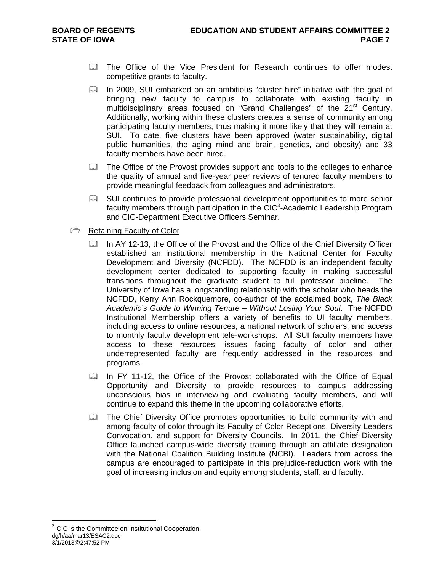- **Example 2** The Office of the Vice President for Research continues to offer modest competitive grants to faculty.
- In 2009, SUI embarked on an ambitious "cluster hire" initiative with the goal of bringing new faculty to campus to collaborate with existing faculty in multidisciplinary areas focused on "Grand Challenges" of the  $21<sup>st</sup>$  Century. Additionally, working within these clusters creates a sense of community among participating faculty members, thus making it more likely that they will remain at SUI. To date, five clusters have been approved (water sustainability, digital public humanities, the aging mind and brain, genetics, and obesity) and 33 faculty members have been hired.
- The Office of the Provost provides support and tools to the colleges to enhance the quality of annual and five-year peer reviews of tenured faculty members to provide meaningful feedback from colleagues and administrators.
- SUI continues to provide professional development opportunities to more senior faculty members through participation in the CIC<sup>3</sup>-Academic Leadership Program and CIC-Department Executive Officers Seminar.
- Retaining Faculty of Color
	- In AY 12-13, the Office of the Provost and the Office of the Chief Diversity Officer established an institutional membership in the National Center for Faculty Development and Diversity (NCFDD). The NCFDD is an independent faculty development center dedicated to supporting faculty in making successful transitions throughout the graduate student to full professor pipeline. The University of Iowa has a longstanding relationship with the scholar who heads the NCFDD, Kerry Ann Rockquemore, co-author of the acclaimed book, *The Black Academic's Guide to Winning Tenure – Without Losing Your Soul*. The NCFDD Institutional Membership offers a variety of benefits to UI faculty members, including access to online resources, a national network of scholars, and access to monthly faculty development tele-workshops. All SUI faculty members have access to these resources; issues facing faculty of color and other underrepresented faculty are frequently addressed in the resources and programs.
	- In FY 11-12, the Office of the Provost collaborated with the Office of Equal Opportunity and Diversity to provide resources to campus addressing unconscious bias in interviewing and evaluating faculty members, and will continue to expand this theme in the upcoming collaborative efforts.
	- The Chief Diversity Office promotes opportunities to build community with and among faculty of color through its Faculty of Color Receptions, Diversity Leaders Convocation, and support for Diversity Councils. In 2011, the Chief Diversity Office launched campus-wide diversity training through an affiliate designation with the National Coalition Building Institute (NCBI). Leaders from across the campus are encouraged to participate in this prejudice-reduction work with the goal of increasing inclusion and equity among students, staff, and faculty.

dg/h/aa/mar13/ESAC2.doc 3/1/2013@2:47:52 PM <sup>3</sup> CIC is the Committee on Institutional Cooperation.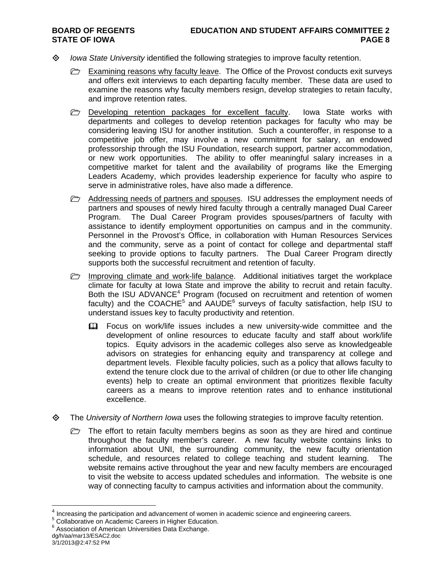- *Iowa State University* identified the following strategies to improve faculty retention.
	- **Examining reasons why faculty leave.** The Office of the Provost conducts exit surveys and offers exit interviews to each departing faculty member. These data are used to examine the reasons why faculty members resign, develop strategies to retain faculty, and improve retention rates.
	- $\triangleright$  Developing retention packages for excellent faculty. Iowa State works with departments and colleges to develop retention packages for faculty who may be considering leaving ISU for another institution. Such a counteroffer, in response to a competitive job offer, may involve a new commitment for salary, an endowed professorship through the ISU Foundation, research support, partner accommodation, or new work opportunities. The ability to offer meaningful salary increases in a competitive market for talent and the availability of programs like the Emerging Leaders Academy, which provides leadership experience for faculty who aspire to serve in administrative roles, have also made a difference.
	- **E** Addressing needs of partners and spouses. ISU addresses the employment needs of partners and spouses of newly hired faculty through a centrally managed Dual Career Program. The Dual Career Program provides spouses/partners of faculty with assistance to identify employment opportunities on campus and in the community. Personnel in the Provost's Office, in collaboration with Human Resources Services and the community, serve as a point of contact for college and departmental staff seeking to provide options to faculty partners. The Dual Career Program directly supports both the successful recruitment and retention of faculty.
	- $\triangleright$  Improving climate and work-life balance. Additional initiatives target the workplace climate for faculty at Iowa State and improve the ability to recruit and retain faculty. Both the ISU ADVANCE<sup>4</sup> Program (focused on recruitment and retention of women faculty) and the COACHE<sup>5</sup> and AAUDE<sup>6</sup> surveys of faculty satisfaction, help ISU to understand issues key to faculty productivity and retention.
		- Focus on work/life issues includes a new university-wide committee and the development of online resources to educate faculty and staff about work/life topics. Equity advisors in the academic colleges also serve as knowledgeable advisors on strategies for enhancing equity and transparency at college and department levels. Flexible faculty policies, such as a policy that allows faculty to extend the tenure clock due to the arrival of children (or due to other life changing events) help to create an optimal environment that prioritizes flexible faculty careers as a means to improve retention rates and to enhance institutional excellence.
- The *University of Northern Iowa* uses the following strategies to improve faculty retention.
	- $\triangleright$  The effort to retain faculty members begins as soon as they are hired and continue throughout the faculty member's career. A new faculty website contains links to information about UNI, the surrounding community, the new faculty orientation schedule, and resources related to college teaching and student learning. The website remains active throughout the year and new faculty members are encouraged to visit the website to access updated schedules and information. The website is one way of connecting faculty to campus activities and information about the community.

<sup>5</sup> Collaborative on Academic Careers in Higher Education.

 $^{4}$  Increasing the participation and advancement of women in academic science and engineering careers.<br>5 Cellaborative an Academic Careers in Higher Education

dg/h/aa/mar13/ESAC2.doc  $6$  Association of American Universities Data Exchange.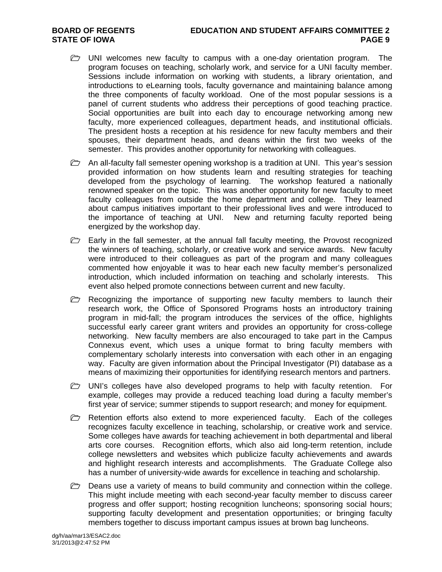## **BOARD OF REGENTS EDUCATION AND STUDENT AFFAIRS COMMITTEE 2 STATE OF IOWA** PAGE 9

- $\triangleright$  UNI welcomes new faculty to campus with a one-day orientation program. The program focuses on teaching, scholarly work, and service for a UNI faculty member. Sessions include information on working with students, a library orientation, and introductions to eLearning tools, faculty governance and maintaining balance among the three components of faculty workload. One of the most popular sessions is a panel of current students who address their perceptions of good teaching practice. Social opportunities are built into each day to encourage networking among new faculty, more experienced colleagues, department heads, and institutional officials. The president hosts a reception at his residence for new faculty members and their spouses, their department heads, and deans within the first two weeks of the semester. This provides another opportunity for networking with colleagues.
- $\triangleright$  An all-faculty fall semester opening workshop is a tradition at UNI. This year's session provided information on how students learn and resulting strategies for teaching developed from the psychology of learning. The workshop featured a nationally renowned speaker on the topic. This was another opportunity for new faculty to meet faculty colleagues from outside the home department and college. They learned about campus initiatives important to their professional lives and were introduced to the importance of teaching at UNI. New and returning faculty reported being energized by the workshop day.
- $\triangleright$  Early in the fall semester, at the annual fall faculty meeting, the Provost recognized the winners of teaching, scholarly, or creative work and service awards. New faculty were introduced to their colleagues as part of the program and many colleagues commented how enjoyable it was to hear each new faculty member's personalized introduction, which included information on teaching and scholarly interests. This event also helped promote connections between current and new faculty.
- Recognizing the importance of supporting new faculty members to launch their research work, the Office of Sponsored Programs hosts an introductory training program in mid-fall; the program introduces the services of the office, highlights successful early career grant writers and provides an opportunity for cross-college networking. New faculty members are also encouraged to take part in the Campus Connexus event, which uses a unique format to bring faculty members with complementary scholarly interests into conversation with each other in an engaging way. Faculty are given information about the Principal Investigator (PI) database as a means of maximizing their opportunities for identifying research mentors and partners.
- $\triangleright$  UNI's colleges have also developed programs to help with faculty retention. For example, colleges may provide a reduced teaching load during a faculty member's first year of service; summer stipends to support research; and money for equipment.
- $\triangleright$  Retention efforts also extend to more experienced faculty. Each of the colleges recognizes faculty excellence in teaching, scholarship, or creative work and service. Some colleges have awards for teaching achievement in both departmental and liberal arts core courses. Recognition efforts, which also aid long-term retention, include college newsletters and websites which publicize faculty achievements and awards and highlight research interests and accomplishments. The Graduate College also has a number of university-wide awards for excellence in teaching and scholarship.
- $\triangleright$  Deans use a variety of means to build community and connection within the college. This might include meeting with each second-year faculty member to discuss career progress and offer support; hosting recognition luncheons; sponsoring social hours; supporting faculty development and presentation opportunities; or bringing faculty members together to discuss important campus issues at brown bag luncheons.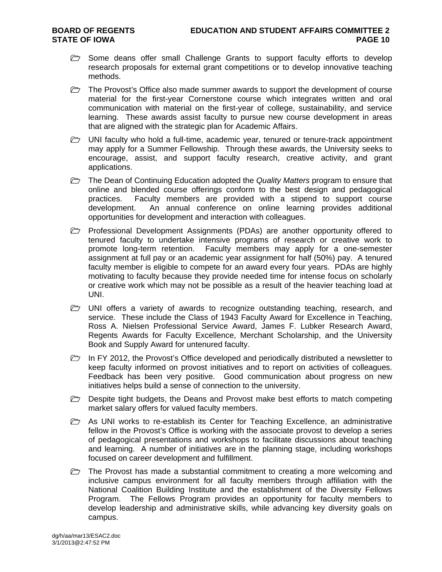- $\triangleright$  Some deans offer small Challenge Grants to support faculty efforts to develop research proposals for external grant competitions or to develop innovative teaching methods.
- $\triangleright$  The Provost's Office also made summer awards to support the development of course material for the first-year Cornerstone course which integrates written and oral communication with material on the first-year of college, sustainability, and service learning. These awards assist faculty to pursue new course development in areas that are aligned with the strategic plan for Academic Affairs.
- $\triangleright$  UNI faculty who hold a full-time, academic year, tenured or tenure-track appointment may apply for a Summer Fellowship. Through these awards, the University seeks to encourage, assist, and support faculty research, creative activity, and grant applications.
- The Dean of Continuing Education adopted the *Quality Matters* program to ensure that online and blended course offerings conform to the best design and pedagogical practices. Faculty members are provided with a stipend to support course development. An annual conference on online learning provides additional opportunities for development and interaction with colleagues.
- **Professional Development Assignments (PDAs) are another opportunity offered to** tenured faculty to undertake intensive programs of research or creative work to promote long-term retention. Faculty members may apply for a one-semester assignment at full pay or an academic year assignment for half (50%) pay. A tenured faculty member is eligible to compete for an award every four years. PDAs are highly motivating to faculty because they provide needed time for intense focus on scholarly or creative work which may not be possible as a result of the heavier teaching load at UNI.
- $\triangleright$  UNI offers a variety of awards to recognize outstanding teaching, research, and service. These include the Class of 1943 Faculty Award for Excellence in Teaching, Ross A. Nielsen Professional Service Award, James F. Lubker Research Award, Regents Awards for Faculty Excellence, Merchant Scholarship, and the University Book and Supply Award for untenured faculty.
- In FY 2012, the Provost's Office developed and periodically distributed a newsletter to keep faculty informed on provost initiatives and to report on activities of colleagues. Feedback has been very positive. Good communication about progress on new initiatives helps build a sense of connection to the university.
- $\triangleright$  Despite tight budgets, the Deans and Provost make best efforts to match competing market salary offers for valued faculty members.
- $\triangleright$  As UNI works to re-establish its Center for Teaching Excellence, an administrative fellow in the Provost's Office is working with the associate provost to develop a series of pedagogical presentations and workshops to facilitate discussions about teaching and learning. A number of initiatives are in the planning stage, including workshops focused on career development and fulfillment.
- $\triangleright$  The Provost has made a substantial commitment to creating a more welcoming and inclusive campus environment for all faculty members through affiliation with the National Coalition Building Institute and the establishment of the Diversity Fellows Program. The Fellows Program provides an opportunity for faculty members to develop leadership and administrative skills, while advancing key diversity goals on campus.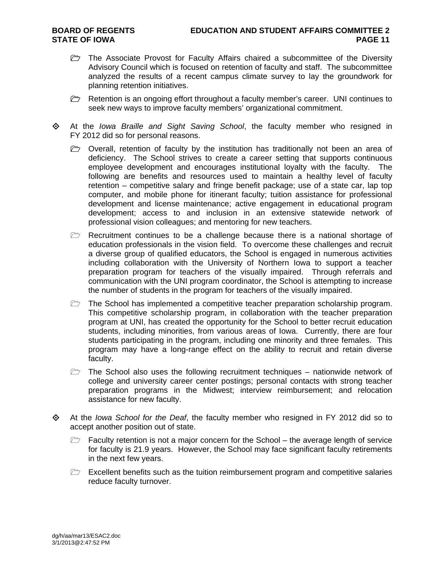- The Associate Provost for Faculty Affairs chaired a subcommittee of the Diversity Advisory Council which is focused on retention of faculty and staff. The subcommittee analyzed the results of a recent campus climate survey to lay the groundwork for planning retention initiatives.
- Retention is an ongoing effort throughout a faculty member's career. UNI continues to seek new ways to improve faculty members' organizational commitment.
- At the *Iowa Braille and Sight Saving School*, the faculty member who resigned in FY 2012 did so for personal reasons.
	- $\triangleright$  Overall, retention of faculty by the institution has traditionally not been an area of deficiency. The School strives to create a career setting that supports continuous employee development and encourages institutional loyalty with the faculty. The following are benefits and resources used to maintain a healthy level of faculty retention – competitive salary and fringe benefit package; use of a state car, lap top computer, and mobile phone for itinerant faculty; tuition assistance for professional development and license maintenance; active engagement in educational program development; access to and inclusion in an extensive statewide network of professional vision colleagues; and mentoring for new teachers.
	- $\triangleright$  Recruitment continues to be a challenge because there is a national shortage of education professionals in the vision field. To overcome these challenges and recruit a diverse group of qualified educators, the School is engaged in numerous activities including collaboration with the University of Northern Iowa to support a teacher preparation program for teachers of the visually impaired. Through referrals and communication with the UNI program coordinator, the School is attempting to increase the number of students in the program for teachers of the visually impaired.
	- $\triangleright$  The School has implemented a competitive teacher preparation scholarship program. This competitive scholarship program, in collaboration with the teacher preparation program at UNI, has created the opportunity for the School to better recruit education students, including minorities, from various areas of Iowa. Currently, there are four students participating in the program, including one minority and three females. This program may have a long-range effect on the ability to recruit and retain diverse faculty.
	- $\triangleright$  The School also uses the following recruitment techniques nationwide network of college and university career center postings; personal contacts with strong teacher preparation programs in the Midwest; interview reimbursement; and relocation assistance for new faculty.
- At the *Iowa School for the Deaf*, the faculty member who resigned in FY 2012 did so to accept another position out of state.
	- $\triangleright$  Faculty retention is not a major concern for the School the average length of service for faculty is 21.9 years. However, the School may face significant faculty retirements in the next few years.
	- $\triangleright$  Excellent benefits such as the tuition reimbursement program and competitive salaries reduce faculty turnover.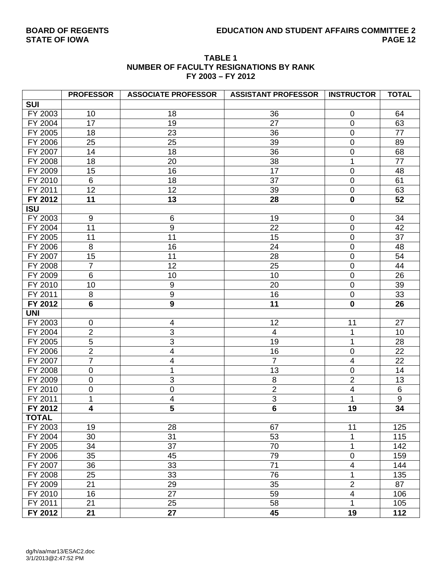# **BOARD OF REGENTS EDUCATION AND STUDENT AFFAIRS COMMITTEE 2**

| <b>TABLE 1</b>                         |
|----------------------------------------|
| NUMBER OF FACULTY RESIGNATIONS BY RANK |
| FY 2003 - FY 2012                      |

|              | <b>PROFESSOR</b> | <b>ASSOCIATE PROFESSOR</b> | <b>ASSISTANT PROFESSOR</b> | <b>INSTRUCTOR</b>       | <b>TOTAL</b>     |
|--------------|------------------|----------------------------|----------------------------|-------------------------|------------------|
| <b>SUI</b>   |                  |                            |                            |                         |                  |
| FY 2003      | 10               | 18                         | 36                         | $\mathbf 0$             | 64               |
| FY 2004      | 17               | 19                         | 27                         | $\mathbf 0$             | 63               |
| FY 2005      | 18               | 23                         | 36                         | $\pmb{0}$               | 77               |
| FY 2006      | 25               | 25                         | 39                         | $\pmb{0}$               | 89               |
| FY 2007      | 14               | 18                         | 36                         | $\pmb{0}$               | 68               |
| FY 2008      | 18               | 20                         | 38                         | 1                       | 77               |
| FY 2009      | 15               | 16                         | 17                         | $\pmb{0}$               | 48               |
| FY 2010      | 6                | 18                         | 37                         | $\pmb{0}$               | 61               |
| FY 2011      | 12               | 12                         | 39                         | $\mathsf 0$             | 63               |
| FY 2012      | 11               | 13                         | 28                         | $\pmb{0}$               | 52               |
| <b>ISU</b>   |                  |                            |                            |                         |                  |
| FY 2003      | $\boldsymbol{9}$ | $\,6$                      | 19                         | $\mathbf 0$             | 34               |
| FY 2004      | 11               | $\boldsymbol{9}$           | 22                         | $\pmb{0}$               | 42               |
| FY 2005      | 11               | 11                         | 15                         | $\pmb{0}$               | 37               |
| FY 2006      | $\,8\,$          | 16                         | 24                         | $\boldsymbol{0}$        | 48               |
| FY 2007      | 15               | 11                         | 28                         | $\pmb{0}$               | 54               |
| FY 2008      | $\overline{7}$   | 12                         | 25                         | $\pmb{0}$               | 44               |
| FY 2009      | $6\phantom{1}$   | 10                         | 10                         | $\mathbf 0$             | 26               |
| FY 2010      | 10               | $\boldsymbol{9}$           | 20                         | $\pmb{0}$               | 39               |
| FY 2011      | $\,8\,$          | $\overline{9}$             | 16                         | $\pmb{0}$               | 33               |
| FY 2012      | $6\phantom{a}$   | $\overline{9}$             | 11                         | $\pmb{0}$               | 26               |
| <b>UNI</b>   |                  |                            |                            |                         |                  |
| FY 2003      | $\mathbf 0$      | 4                          | 12                         | 11                      | 27               |
| FY 2004      | $\overline{2}$   | $\overline{3}$             | 4                          | 1                       | 10               |
| FY 2005      | $\overline{5}$   | $\overline{3}$             | 19                         | 1                       | 28               |
| FY 2006      | $\overline{2}$   | $\overline{4}$             | 16                         | $\boldsymbol{0}$        | 22               |
| FY 2007      | $\overline{7}$   | $\overline{\mathbf{4}}$    | $\overline{7}$             | $\overline{\mathbf{4}}$ | 22               |
| FY 2008      | $\mathbf 0$      | 1                          | 13                         | $\pmb{0}$               | 14               |
| FY 2009      | $\mathbf 0$      | $\overline{3}$             | 8                          | $\overline{2}$          | 13               |
| FY 2010      | $\pmb{0}$        | $\mathbf 0$                | $\overline{2}$             | $\overline{\mathbf{4}}$ | 6                |
| FY 2011      | $\mathbf 1$      | $\overline{4}$             | $\overline{3}$             | 1                       | $\boldsymbol{9}$ |
| FY 2012      | 4                | $\overline{\mathbf{5}}$    | $\overline{\mathbf{6}}$    | 19                      | 34               |
| <b>TOTAL</b> |                  |                            |                            |                         |                  |
| FY 2003      | 19               | 28                         | 67                         | 11                      | 125              |
| FY 2004      | 30               | 31                         | 53                         | 1                       | 115              |
| FY 2005      | 34               | 37                         | 70                         | 1                       | 142              |
| FY 2006      | 35               | 45                         | 79                         | $\pmb{0}$               | 159              |
| FY 2007      | 36               | 33                         | 71                         | 4                       | 144              |
| FY 2008      | 25               | 33                         | 76                         | 1                       | 135              |
| FY 2009      | 21               | 29                         | 35                         | $\overline{2}$          | 87               |
| FY 2010      | 16               | 27                         | 59                         | $\overline{4}$          | 106              |
| FY 2011      | 21               | 25                         | 58                         | 1                       | 105              |
| FY 2012      | 21               | 27                         | 45                         | 19                      | 112              |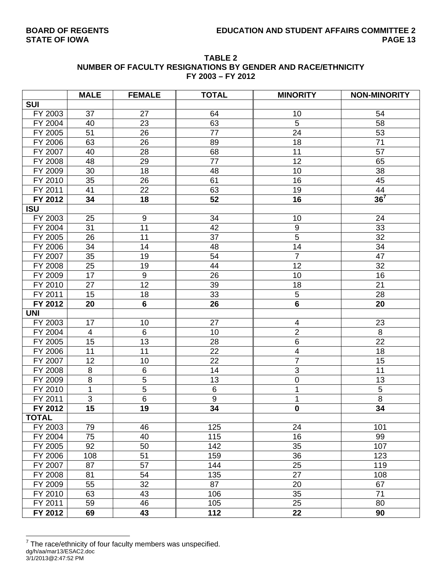| <b>TABLE 2</b>                                              |
|-------------------------------------------------------------|
| NUMBER OF FACULTY RESIGNATIONS BY GENDER AND RACE/ETHNICITY |
| FY 2003 - FY 2012                                           |

|              | <b>MALE</b> | <b>FEMALE</b>    | <b>TOTAL</b>     | <b>MINORITY</b>          | <b>NON-MINORITY</b> |
|--------------|-------------|------------------|------------------|--------------------------|---------------------|
| <b>SUI</b>   |             |                  |                  |                          |                     |
| FY 2003      | 37          | 27               | 64               | 10                       | 54                  |
| FY 2004      | 40          | 23               | 63               | 5                        | 58                  |
| FY 2005      | 51          | 26               | 77               | 24                       | 53                  |
| FY 2006      | 63          | 26               | 89               | 18                       | 71                  |
| FY 2007      | 40          | 28               | 68               | 11                       | 57                  |
| FY 2008      | 48          | 29               | 77               | 12                       | 65                  |
| FY 2009      | 30          | 18               | 48               | 10                       | 38                  |
| FY 2010      | 35          | 26               | 61               | 16                       | 45                  |
| FY 2011      | 41          | 22               | 63               | 19                       | 44                  |
| FY 2012      | 34          | 18               | 52               | 16                       | 36 <sup>7</sup>     |
| <b>ISU</b>   |             |                  |                  |                          |                     |
| FY 2003      | 25          | $\boldsymbol{9}$ | 34               | 10                       | 24                  |
| FY 2004      | 31          | 11               | 42               | $\boldsymbol{9}$         | 33                  |
| FY 2005      | 26          | 11               | 37               | $\overline{5}$           | 32                  |
| FY 2006      | 34          | 14               | 48               | 14                       | 34                  |
| FY 2007      | 35          | 19               | 54               | $\overline{7}$           | 47                  |
| FY 2008      | 25          | 19               | 44               | 12                       | 32                  |
| FY 2009      | 17          | $\boldsymbol{9}$ | 26               | 10                       | 16                  |
| FY 2010      | 27          | 12               | 39               | 18                       | 21                  |
| FY 2011      | 15          | 18               | 33               | 5                        | 28                  |
| FY 2012      | 20          | $6\phantom{a}$   | 26               | $6\phantom{a}$           | 20                  |
| <b>UNI</b>   |             |                  |                  |                          |                     |
| FY 2003      | 17          | 10               | 27               | 4                        | 23                  |
| FY 2004      | 4           | 6                | 10               | $\overline{2}$           | 8                   |
| FY 2005      | 15          | 13               | 28               | 6                        | 22                  |
| FY 2006      | 11          | 11               | 22               | $\overline{\mathcal{A}}$ | 18                  |
| FY 2007      | 12          | 10               | 22               | $\overline{7}$           | 15                  |
| FY 2008      | 8           | 6                | 14               | $\overline{3}$           | 11                  |
| FY 2009      | 8           | 5                | 13               | $\boldsymbol{0}$         | 13                  |
| FY 2010      | 1           | $\overline{5}$   | $\overline{6}$   | 1                        | $\overline{5}$      |
| FY 2011      | 3           | 6                | $\boldsymbol{9}$ | 1                        | 8                   |
| FY 2012      | 15          | 19               | 34               | $\mathbf 0$              | 34                  |
| <b>TOTAL</b> |             |                  |                  |                          |                     |
| FY 2003      | 79          | 46               | 125              | 24                       | 101                 |
| FY 2004      | 75          | 40               | 115              | 16                       | 99                  |
| FY 2005      | 92          | 50               | 142              | 35                       | 107                 |
| FY 2006      | 108         | 51               | 159              | 36                       | 123                 |
| FY 2007      | 87          | 57               | 144              | 25                       | 119                 |
| FY 2008      | 81          | 54               | 135              | 27                       | 108                 |
| FY 2009      | 55          | 32               | 87               | 20                       | 67                  |
| FY 2010      | 63          | 43               | 106              | 35                       | 71                  |
| FY 2011      | 59          | 46               | 105              | 25                       | 80                  |
| FY 2012      | 69          | 43               | 112              | 22                       | 90                  |

dg/h/aa/mar13/ESAC2.doc 3/1/2013@2:47:52 PM ————————————————————<br><sup>7</sup> The race/ethnicity of four faculty members was unspecified.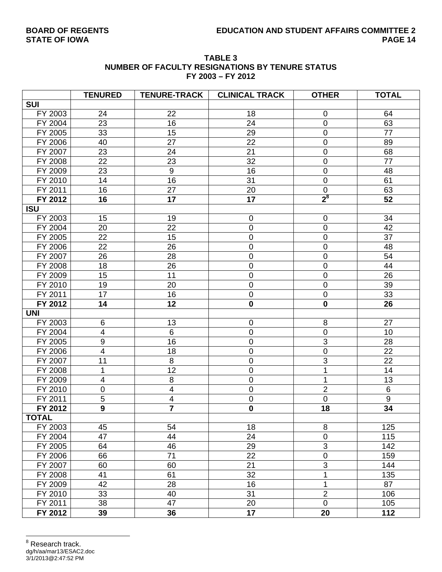| <b>TABLE 3</b>                                         |
|--------------------------------------------------------|
| <b>NUMBER OF FACULTY RESIGNATIONS BY TENURE STATUS</b> |
| FY 2003 - FY 2012                                      |

|              | <b>TENURED</b>           | <b>TENURE-TRACK</b>     | <b>CLINICAL TRACK</b> | <b>OTHER</b>     | <b>TOTAL</b>     |
|--------------|--------------------------|-------------------------|-----------------------|------------------|------------------|
| <b>SUI</b>   |                          |                         |                       |                  |                  |
| FY 2003      | 24                       | 22                      | 18                    | $\mathbf 0$      | 64               |
| FY 2004      | 23                       | 16                      | 24                    | $\mathbf 0$      | 63               |
| FY 2005      | 33                       | 15                      | 29                    | $\mathbf 0$      | 77               |
| FY 2006      | 40                       | 27                      | 22                    | $\boldsymbol{0}$ | 89               |
| FY 2007      | 23                       | 24                      | 21                    | $\pmb{0}$        | 68               |
| FY 2008      | 22                       | 23                      | 32                    | 0                | 77               |
| FY 2009      | 23                       | $\boldsymbol{9}$        | 16                    | $\mathbf 0$      | 48               |
| FY 2010      | 14                       | 16                      | 31                    | $\pmb{0}$        | 61               |
| FY 2011      | 16                       | 27                      | 20                    | $\pmb{0}$        | 63               |
| FY 2012      | 16                       | 17                      | 17                    | $2^8$            | 52               |
| <b>ISU</b>   |                          |                         |                       |                  |                  |
| FY 2003      | 15                       | 19                      | $\mathbf 0$           | $\mathbf 0$      | 34               |
| FY 2004      | 20                       | 22                      | $\pmb{0}$             | $\pmb{0}$        | 42               |
| FY 2005      | 22                       | 15                      | $\pmb{0}$             | $\pmb{0}$        | 37               |
| FY 2006      | 22                       | 26                      | $\boldsymbol{0}$      | $\mathbf 0$      | 48               |
| FY 2007      | 26                       | 28                      | $\mathsf 0$           | $\mathsf 0$      | 54               |
| FY 2008      | 18                       | 26                      | $\pmb{0}$             | $\mathsf 0$      | 44               |
| FY 2009      | 15                       | 11                      | $\pmb{0}$             | $\pmb{0}$        | 26               |
| FY 2010      | 19                       | 20                      | $\pmb{0}$             | $\mathbf 0$      | 39               |
| FY 2011      | 17                       | 16                      | $\pmb{0}$             | $\pmb{0}$        | 33               |
| FY 2012      | 14                       | 12                      | $\mathbf 0$           | $\mathbf 0$      | 26               |
| <b>UNI</b>   |                          |                         |                       |                  |                  |
| FY 2003      | 6                        | 13                      | 0                     | 8                | 27               |
| FY 2004      | $\overline{4}$           | $\overline{6}$          | $\mathsf 0$           | $\mathbf 0$      | 10               |
| FY 2005      | $\boldsymbol{9}$         | 16                      | $\pmb{0}$             | 3                | 28               |
| FY 2006      | $\overline{\mathcal{A}}$ | 18                      | $\pmb{0}$             | $\pmb{0}$        | 22               |
| FY 2007      | 11                       | 8                       | $\mathbf 0$           | $\overline{3}$   | 22               |
| FY 2008      | 1                        | 12                      | 0                     |                  | 14               |
| FY 2009      | $\overline{\mathbf{4}}$  | $\bf 8$                 | $\pmb{0}$             | 1                | 13               |
| FY 2010      | 0                        | $\overline{\mathbf{4}}$ | $\pmb{0}$             | $\overline{2}$   | $6\phantom{1}$   |
| FY 2011      | $\overline{5}$           | $\overline{\mathbf{4}}$ | $\pmb{0}$             | $\mathbf 0$      | $\boldsymbol{9}$ |
| FY 2012      | $\overline{9}$           | $\overline{\mathbf{7}}$ | $\mathbf 0$           | 18               | 34               |
| <b>TOTAL</b> |                          |                         |                       |                  |                  |
| FY 2003      | 45                       | 54                      | 18                    | 8                | 125              |
| FY 2004      | 47                       | 44                      | 24                    | $\pmb{0}$        | 115              |
| FY 2005      | 64                       | 46                      | 29                    | 3                | 142              |
| FY 2006      | 66                       | 71                      | 22                    | $\mathbf 0$      | 159              |
| FY 2007      | 60                       | 60                      | 21                    | 3                | 144              |
| FY 2008      | 41                       | 61                      | 32                    |                  | 135              |
| FY 2009      | 42                       | 28                      | 16                    |                  | 87               |
| FY 2010      | 33                       | 40                      | 31                    | $\overline{2}$   | 106              |
| FY 2011      | 38                       | 47                      | 20                    | $\mathbf 0$      | 105              |
| FY 2012      | 39                       | 36                      | 17                    | 20               | 112              |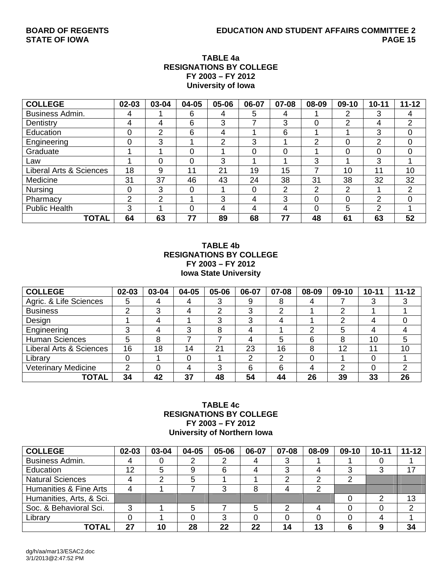# **TABLE 4a RESIGNATIONS BY COLLEGE FY 2003 – FY 2012 University of Iowa**

| <b>COLLEGE</b>          | 02-03 | 03-04          | 04-05 | 05-06 | 06-07 | 07-08 | 08-09    | $09-10$  | $10 - 11$ | $11 - 12$   |
|-------------------------|-------|----------------|-------|-------|-------|-------|----------|----------|-----------|-------------|
| <b>Business Admin.</b>  | 4     |                | 6     | 4     | 5     | 4     |          | 2        | 3         | 4           |
| Dentistry               | 4     | 4              | 6     | 3     |       | 3     | 0        | 2        | 4         | 2           |
| Education               | 0     | $\overline{2}$ | 6     | 4     |       | 6     |          |          | 3         | $\mathbf 0$ |
| Engineering             | 0     | 3              |       | っ     | 3     |       | っ        | $\Omega$ | 2         | 0           |
| Graduate                |       |                | 0     |       | 0     |       |          | $\Omega$ | 0         | 0           |
| Law                     |       | 0              | 0     | 3     |       |       | 3        |          | 3         |             |
| Liberal Arts & Sciences | 18    | 9              | 11    | 21    | 19    | 15    | ⇁        | 10       | 11        | 10          |
| Medicine                | 31    | 37             | 46    | 43    | 24    | 38    | 31       | 38       | 32        | 32          |
| <b>Nursing</b>          | 0     | 3              | 0     |       |       | 2     | 2        | 2        |           | 2           |
| Pharmacy                | 2     | $\overline{2}$ |       | 3     | 4     | 3     | $\Omega$ | $\Omega$ | 2         | 0           |
| <b>Public Health</b>    | 3     |                | 0     | 4     | 4     | 4     | 0        | 5        | C         |             |
| <b>TOTAL</b>            | 64    | 63             | 77    | 89    | 68    | 77    | 48       | 61       | 63        | 52          |

# **TABLE 4b RESIGNATIONS BY COLLEGE FY 2003 – FY 2012 Iowa State University**

| <b>COLLEGE</b>                     | $02 - 03$ | 03-04 | 04-05 | 05-06 | 06-07 | 07-08 | 08-09 | 09-10 | $10 - 11$ | $11 - 12$ |
|------------------------------------|-----------|-------|-------|-------|-------|-------|-------|-------|-----------|-----------|
| Agric. & Life Sciences             | 5         |       |       |       | 9     | 8     | 4     |       |           |           |
| <b>Business</b>                    | ົ         | 3     |       | ⌒     | 3     | ⌒     |       | ⌒     |           |           |
| Design                             |           |       |       |       | 3     | 4     |       | ົ     | 4         |           |
| Engineering                        | ◠         | 4     | ≏     |       | 4     |       | っ     | 5     | 4         |           |
| <b>Human Sciences</b>              | 5         | 8     |       |       | 4     | 5     | 6     | 8     | 10        | 5         |
| <b>Liberal Arts &amp; Sciences</b> | 16        | 18    | 14    | 21    | 23    | 16    | 8     | 12    | 11        | 10        |
| Library                            |           |       |       |       | ⌒     | 2     |       |       |           |           |
| <b>Veterinary Medicine</b>         | ⌒         |       |       | ◠     | 6     | 6     | 4     | 2     |           | ົ         |
| <b>TOTAL</b>                       | 34        | 42    | 37    | 48    | 54    | 44    | 26    | 39    | 33        | 26        |

# **TABLE 4c RESIGNATIONS BY COLLEGE FY 2003 – FY 2012 University of Northern Iowa**

| <b>COLLEGE</b>           | $02 - 03$ | 03-04 | 04-05 | 05-06 | 06-07 | 07-08 | 08-09 | 09-10 | $10 - 11$ | $11 - 12$ |
|--------------------------|-----------|-------|-------|-------|-------|-------|-------|-------|-----------|-----------|
| Business Admin.          |           |       |       |       |       |       |       |       |           |           |
| Education                | 12        | 5     | 9     |       |       |       |       | ◠     | ົ         |           |
| <b>Natural Sciences</b>  |           |       | 5     |       |       |       |       |       |           |           |
| Humanities & Fine Arts   |           |       |       |       |       |       |       |       |           |           |
| Humanities, Arts, & Sci. |           |       |       |       |       |       |       |       |           | 13        |
| Soc. & Behavioral Sci.   | ◠         |       | 5     |       |       |       |       |       |           | C         |
| Library                  |           |       |       |       |       |       |       |       |           |           |
| TOTAL                    | 27        | 10    | 28    | 22    | 22    | 14    | 13    |       |           | 34        |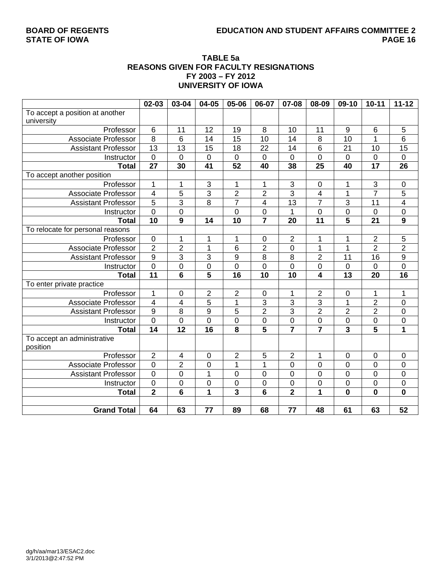# **BOARD OF REGENTS EDUCATION AND STUDENT AFFAIRS COMMITTEE 2**

# **TABLE 5a REASONS GIVEN FOR FACULTY RESIGNATIONS FY 2003 – FY 2012 UNIVERSITY OF IOWA**

|                                  | 02-03                   | 03-04                   | 04-05                   | 05-06          | 06-07                   | 07-08                   | 08-09            | 09-10                   | $10 - 11$               | $11 - 12$               |
|----------------------------------|-------------------------|-------------------------|-------------------------|----------------|-------------------------|-------------------------|------------------|-------------------------|-------------------------|-------------------------|
| To accept a position at another  |                         |                         |                         |                |                         |                         |                  |                         |                         |                         |
| university                       |                         |                         |                         |                |                         |                         |                  |                         |                         |                         |
| Professor                        | 6                       | 11                      | 12                      | 19             | 8                       | 10                      | 11               | 9                       | 6                       | 5                       |
| Associate Professor              | 8                       | 6                       | 14                      | 15             | 10                      | 14                      | 8                | 10                      | 1                       | 6                       |
| <b>Assistant Professor</b>       | $\overline{13}$         | 13                      | 15                      | 18             | 22                      | 14                      | 6                | 21                      | 10                      | 15                      |
| Instructor                       | $\mathbf 0$             | $\mathbf 0$             | $\mathbf 0$             | $\mathbf 0$    | $\mathbf 0$             | $\mathbf 0$             | 0                | $\overline{0}$          | $\mathbf 0$             | $\pmb{0}$               |
| <b>Total</b>                     | $\overline{27}$         | 30                      | 41                      | 52             | 40                      | 38                      | 25               | 40                      | $\overline{17}$         | $\overline{26}$         |
| To accept another position       |                         |                         |                         |                |                         |                         |                  |                         |                         |                         |
| Professor                        | $\mathbf{1}$            | 1                       | $\sqrt{3}$              | 1              | 1                       | 3                       | $\boldsymbol{0}$ | 1                       | 3                       | $\pmb{0}$               |
| <b>Associate Professor</b>       | $\overline{\mathbf{4}}$ | 5                       | $\overline{3}$          | $\overline{c}$ | $\overline{2}$          | $\overline{3}$          | 4                | 1                       | $\overline{7}$          | 5                       |
| <b>Assistant Professor</b>       | $\overline{5}$          | $\overline{3}$          | 8                       | $\overline{7}$ | 4                       | 13                      | $\overline{7}$   | 3                       | 11                      | $\overline{\mathbf{4}}$ |
| Instructor                       | $\overline{0}$          | $\overline{0}$          |                         | $\overline{0}$ | $\mathbf 0$             | 1                       | 0                | $\mathbf 0$             | $\overline{0}$          | $\mathbf 0$             |
| <b>Total</b>                     | 10                      | $\boldsymbol{9}$        | 14                      | 10             | $\overline{7}$          | 20                      | 11               | 5                       | 21                      | $\overline{9}$          |
| To relocate for personal reasons |                         |                         |                         |                |                         |                         |                  |                         |                         |                         |
| Professor                        | $\mathbf 0$             | 1                       | 1                       | 1              | 0                       | $\overline{2}$          | 1                | 1                       | $\overline{2}$          | 5                       |
| <b>Associate Professor</b>       | $\overline{2}$          | $\overline{2}$          | 1                       | 6              | $\overline{2}$          | $\mathbf 0$             | 1                | 1                       | $\overline{2}$          | $\overline{2}$          |
| <b>Assistant Professor</b>       | $\overline{9}$          | 3                       | 3                       | 9              | 8                       | 8                       | $\overline{2}$   | 11                      | 16                      | $\overline{9}$          |
| Instructor                       | $\overline{0}$          | 0                       | $\overline{0}$          | $\mathbf 0$    | 0                       | $\overline{0}$          | 0                | $\mathbf 0$             | 0                       | $\mathbf 0$             |
| <b>Total</b>                     | $\overline{11}$         | $6\phantom{1}6$         | $\overline{\mathbf{5}}$ | 16             | 10                      | 10                      | 4                | 13                      | 20                      | 16                      |
| To enter private practice        |                         |                         |                         |                |                         |                         |                  |                         |                         |                         |
| Professor                        | $\mathbf{1}$            | $\pmb{0}$               | $\overline{2}$          | 2              | $\pmb{0}$               | 1                       | $\overline{2}$   | $\mathbf 0$             | 1                       | 1                       |
| <b>Associate Professor</b>       | $\overline{4}$          | $\overline{\mathbf{4}}$ | $\overline{5}$          | $\mathbf 1$    | $\overline{3}$          | 3                       | $\overline{3}$   | 1                       | $\overline{2}$          | $\mathbf 0$             |
| <b>Assistant Professor</b>       | $\overline{9}$          | 8                       | 9                       | 5              | $\overline{2}$          | $\overline{3}$          | $\overline{2}$   | $\overline{2}$          | $\overline{2}$          | $\pmb{0}$               |
| Instructor                       | $\pmb{0}$               | $\mathsf 0$             | $\overline{0}$          | $\mathbf 0$    | $\mathbf 0$             | $\pmb{0}$               | $\mathbf 0$      | $\boldsymbol{0}$        | $\boldsymbol{0}$        | $\mathbf 0$             |
| <b>Total</b>                     | $\overline{14}$         | $\overline{12}$         | $\overline{16}$         | 8              | $\overline{\mathbf{5}}$ | $\overline{\mathbf{7}}$ | $\overline{7}$   | $\overline{\mathbf{3}}$ | $\overline{\mathbf{5}}$ | $\overline{1}$          |
| To accept an administrative      |                         |                         |                         |                |                         |                         |                  |                         |                         |                         |
| position                         |                         |                         |                         |                |                         |                         |                  |                         |                         |                         |
| Professor                        | $\mathbf 2$             | 4                       | $\boldsymbol{0}$        | 2              | 5                       | $\overline{c}$          | 1                | $\mathbf 0$             | $\mathbf 0$             | $\pmb{0}$               |
| <b>Associate Professor</b>       | $\overline{0}$          | $\overline{2}$          | $\overline{0}$          | $\overline{1}$ | $\overline{1}$          | $\overline{0}$          | 0                | $\overline{0}$          | $\overline{0}$          | 0                       |
| <b>Assistant Professor</b>       | $\overline{0}$          | 0                       | 1                       | 0              | 0                       | $\mathbf 0$             | 0                | $\mathbf 0$             | 0                       | $\boldsymbol{0}$        |
| Instructor                       | $\overline{0}$          | 0                       | 0                       | 0              | 0                       | $\mathbf 0$             | 0                | $\overline{0}$          | $\mathbf 0$             | $\mathbf 0$             |
| <b>Total</b>                     | $\overline{2}$          | $6\phantom{1}$          | 1                       | 3              | 6                       | $\overline{2}$          | 1                | $\mathbf 0$             | $\mathbf 0$             | $\mathbf 0$             |
|                                  |                         |                         |                         |                |                         |                         |                  |                         |                         |                         |
| <b>Grand Total</b>               | 64                      | 63                      | 77                      | 89             | 68                      | 77                      | 48               | 61                      | 63                      | 52                      |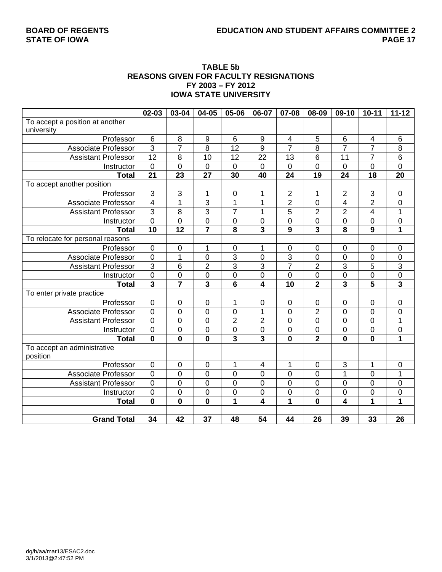# **BOARD OF REGENTS EDUCATION AND STUDENT AFFAIRS COMMITTEE 2**

### **TABLE 5b REASONS GIVEN FOR FACULTY RESIGNATIONS FY 2003 – FY 2012 IOWA STATE UNIVERSITY**

|                                  | 02-03                   | 03-04               | 04-05                   | 05-06          | 06-07                   | 07-08                   | 08-09            | 09-10           | $10 - 11$               | $11 - 12$               |
|----------------------------------|-------------------------|---------------------|-------------------------|----------------|-------------------------|-------------------------|------------------|-----------------|-------------------------|-------------------------|
| To accept a position at another  |                         |                     |                         |                |                         |                         |                  |                 |                         |                         |
| university                       |                         |                     |                         |                |                         |                         |                  |                 |                         |                         |
| Professor                        | $\,6$                   | 8                   | $\boldsymbol{9}$        | 6              | $\boldsymbol{9}$        | $\overline{\mathbf{4}}$ | 5                | $\,6$           | $\overline{\mathbf{4}}$ | $\,6$                   |
| Associate Professor              | $\overline{3}$          | $\overline{7}$      | 8                       | 12             | 9                       | $\overline{7}$          | 8                | $\overline{7}$  | $\overline{7}$          | 8                       |
| <b>Assistant Professor</b>       | 12                      | 8                   | 10                      | 12             | $\overline{22}$         | $\overline{13}$         | 6                | 11              | $\overline{7}$          | 6                       |
| Instructor                       | $\mathbf 0$             | $\mathbf 0$         | $\overline{0}$          | $\mathbf 0$    | $\pmb{0}$               | $\mathbf 0$             | 0                | $\overline{0}$  | 0                       | $\mathbf 0$             |
| <b>Total</b>                     | $\overline{21}$         | $\overline{23}$     | $\overline{27}$         | 30             | 40                      | $\overline{24}$         | $\overline{19}$  | $\overline{24}$ | 18                      | $\overline{20}$         |
| To accept another position       |                         |                     |                         |                |                         |                         |                  |                 |                         |                         |
| Professor                        | $\overline{3}$          | 3                   | 1                       | 0              | 1                       | $\overline{2}$          | 1                | $\overline{2}$  | $\mathbf{3}$            | $\pmb{0}$               |
| <b>Associate Professor</b>       | $\overline{\mathbf{4}}$ | 1                   | $\overline{3}$          | $\mathbf{1}$   | 1                       | $\overline{2}$          | $\boldsymbol{0}$ | 4               | $\overline{2}$          | $\mathbf 0$             |
| <b>Assistant Professor</b>       | $\overline{3}$          | 8                   | $\overline{3}$          | $\overline{7}$ | 1                       | 5                       | $\overline{c}$   | $\overline{2}$  | 4                       | 1                       |
| Instructor                       | $\overline{0}$          | $\mathbf 0$         | $\overline{0}$          | $\mathbf 0$    | 0                       | $\mathbf 0$             | $\overline{0}$   | $\mathbf 0$     | 0                       | $\pmb{0}$               |
| <b>Total</b>                     | $\overline{10}$         | $\overline{12}$     | $\overline{\mathbf{7}}$ | 8              | $\overline{\mathbf{3}}$ | 9                       | 3                | 8               | $\overline{9}$          | 1                       |
| To relocate for personal reasons |                         |                     |                         |                |                         |                         |                  |                 |                         |                         |
| Professor                        | $\mathbf 0$             | $\mathsf 0$         | 1                       | 0              | 1                       | $\boldsymbol{0}$        | 0                | 0               | $\mathbf 0$             | $\mathbf 0$             |
| <b>Associate Professor</b>       | $\mathbf 0$             | 1                   | $\mathbf 0$             | 3              | 0                       | $\overline{3}$          | 0                | $\mathbf 0$     | $\mathbf 0$             | $\pmb{0}$               |
| <b>Assistant Professor</b>       | $\overline{3}$          | $\,6$               | $\overline{2}$          | 3              | 3                       | $\overline{7}$          | $\overline{2}$   | 3               | 5                       | 3                       |
| Instructor                       | $\mathbf 0$             | $\mathbf 0$         | $\overline{0}$          | $\mathbf 0$    | $\mathbf 0$             | $\mathbf 0$             | 0                | 0               | $\mathbf 0$             | $\overline{0}$          |
| <b>Total</b>                     | $\overline{\mathbf{3}}$ | $\overline{7}$      | $\overline{\mathbf{3}}$ | 6              | $\overline{4}$          | 10                      | $\overline{2}$   | 3               | 5                       | $\overline{\mathbf{3}}$ |
| To enter private practice        |                         |                     |                         |                |                         |                         |                  |                 |                         |                         |
| Professor                        | $\mathbf 0$             | $\pmb{0}$           | $\pmb{0}$               | 1              | 0                       | $\pmb{0}$               | 0                | $\pmb{0}$       | $\mathbf 0$             | $\pmb{0}$               |
| <b>Associate Professor</b>       | $\overline{0}$          | $\overline{0}$      | $\overline{0}$          | $\overline{0}$ | $\overline{1}$          | $\overline{0}$          | $\overline{2}$   | $\overline{0}$  | $\overline{0}$          | $\mathbf 0$             |
| <b>Assistant Professor</b>       | $\mathbf 0$             | $\mathbf 0$         | $\mathbf 0$             | $\overline{2}$ | $\overline{2}$          | $\mathbf 0$             | 0                | 0               | $\mathbf 0$             | 1                       |
| Instructor                       | $\boldsymbol{0}$        | $\mathsf{O}\xspace$ | $\mathbf 0$             | 0              | $\overline{0}$          | $\boldsymbol{0}$        | 0                | $\mathbf 0$     | $\pmb{0}$               | $\pmb{0}$               |
| <b>Total</b>                     | $\mathbf 0$             | $\mathbf 0$         | $\overline{\mathbf{0}}$ | 3              | $\overline{\mathbf{3}}$ | $\overline{\mathbf{0}}$ | $\overline{2}$   | $\bf{0}$        | $\bf{0}$                | $\overline{1}$          |
| To accept an administrative      |                         |                     |                         |                |                         |                         |                  |                 |                         |                         |
| position                         |                         |                     |                         |                |                         |                         |                  |                 |                         |                         |
| Professor                        | $\mathbf 0$             | $\mathbf 0$         | $\pmb{0}$               | 1              | $\overline{4}$          | $\mathbf{1}$            | 0                | 3               | 1                       | $\pmb{0}$               |
| <b>Associate Professor</b>       | $\overline{0}$          | $\overline{0}$      | $\overline{0}$          | $\overline{0}$ | 0                       | $\overline{0}$          | 0                | $\overline{1}$  | $\overline{0}$          | 1                       |
| <b>Assistant Professor</b>       | $\overline{0}$          | $\overline{0}$      | $\mathbf 0$             | $\overline{0}$ | $\mathbf 0$             | $\overline{0}$          | 0                | $\mathbf 0$     | $\mathbf 0$             | $\mathbf 0$             |
| Instructor                       | $\mathbf 0$             | $\mathbf 0$         | $\mathbf 0$             | $\mathbf 0$    | $\mathbf 0$             | $\mathbf 0$             | 0                | $\mathbf 0$     | $\overline{0}$          | $\overline{0}$          |
| <b>Total</b>                     | $\mathbf 0$             | $\mathbf 0$         | $\mathbf 0$             | 1              | $\overline{4}$          | 1                       | 0                | 4               | 1                       | 1                       |
|                                  |                         |                     |                         |                |                         |                         |                  |                 |                         |                         |
| <b>Grand Total</b>               | 34                      | 42                  | 37                      | 48             | 54                      | 44                      | 26               | 39              | 33                      | 26                      |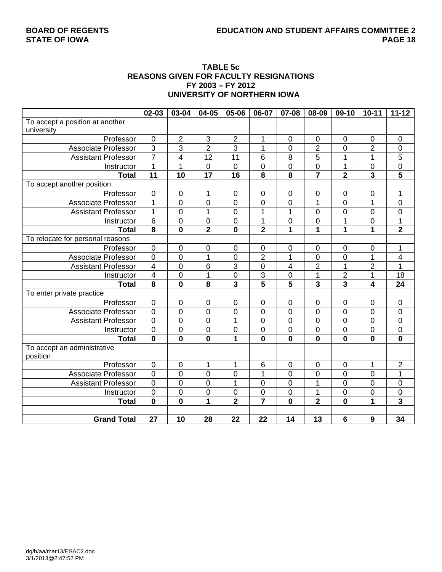### **TABLE 5c REASONS GIVEN FOR FACULTY RESIGNATIONS FY 2003 – FY 2012 UNIVERSITY OF NORTHERN IOWA**

|                                  | 02-03                   | 03-04            | 04-05            | 05-06                   | 06-07                   | 07-08                   | 08-09                   | 09-10          | $10 - 11$               | $11 - 12$               |
|----------------------------------|-------------------------|------------------|------------------|-------------------------|-------------------------|-------------------------|-------------------------|----------------|-------------------------|-------------------------|
| To accept a position at another  |                         |                  |                  |                         |                         |                         |                         |                |                         |                         |
| university                       |                         |                  |                  |                         |                         |                         |                         |                |                         |                         |
| Professor                        | $\boldsymbol{0}$        | $\overline{2}$   | $\mathsf 3$      | $\sqrt{2}$              | 1                       | $\pmb{0}$               | $\pmb{0}$               | $\mathbf 0$    | $\mathbf 0$             | $\mathbf 0$             |
| <b>Associate Professor</b>       | $\overline{3}$          | 3                | $\overline{2}$   | 3                       | 1                       | 0                       | $\overline{2}$          | 0              | $\overline{2}$          | $\mathbf 0$             |
| <b>Assistant Professor</b>       | $\overline{7}$          | 4                | $\overline{12}$  | 11                      | 6                       | $\overline{8}$          | 5                       | 1              | 1                       | 5                       |
| Instructor                       | $\overline{1}$          | $\mathbf{1}$     | $\overline{0}$   | $\mathbf 0$             | $\overline{0}$          | $\overline{0}$          | $\boldsymbol{0}$        | $\mathbf 1$    | $\mathbf 0$             | $\overline{0}$          |
| <b>Total</b>                     | $\overline{11}$         | $\overline{10}$  | $\overline{17}$  | 16                      | $\overline{\mathbf{8}}$ | $\overline{\mathbf{8}}$ |                         | $\overline{2}$ | $\overline{\mathbf{3}}$ | 5                       |
| To accept another position       |                         |                  |                  |                         |                         |                         |                         |                |                         |                         |
| Professor                        | $\mathbf 0$             | 0                | 1                | $\mathbf 0$             | $\mathbf 0$             | $\boldsymbol{0}$        | 0                       | $\mathbf 0$    | $\mathbf 0$             | 1                       |
| <b>Associate Professor</b>       | 1                       | 0                | $\mathbf 0$      | $\boldsymbol{0}$        | 0                       | 0                       | 1                       | $\mathbf 0$    | 1                       | $\mathbf 0$             |
| <b>Assistant Professor</b>       | $\mathbf{1}$            | 0                | $\mathbf 1$      | $\mathbf 0$             | 1                       | 1                       | $\pmb{0}$               | 0              | $\mathbf 0$             | $\mathbf 0$             |
| Instructor                       | $\,6$                   | 0                | $\mathbf 0$      | $\mathbf 0$             | $\mathbf 1$             | 0                       | 0                       | 1              | 0                       | 1                       |
| <b>Total</b>                     | $\overline{\mathbf{8}}$ | $\mathbf 0$      | $\overline{2}$   | $\mathbf 0$             | $\overline{2}$          | $\overline{1}$          | $\overline{\mathbf{1}}$ | 1              | 1                       | $\overline{\mathbf{2}}$ |
| To relocate for personal reasons |                         |                  |                  |                         |                         |                         |                         |                |                         |                         |
| Professor                        | $\mathsf 0$             | 0                | $\boldsymbol{0}$ | $\mathbf 0$             | $\mathsf 0$             | 0                       | $\pmb{0}$               | 0              | $\mathbf 0$             | 1                       |
| <b>Associate Professor</b>       | $\overline{0}$          | 0                | 1                | $\mathbf 0$             | $\overline{2}$          | $\mathbf{1}$            | 0                       | 0              | 1                       | 4                       |
| <b>Assistant Professor</b>       | $\overline{4}$          | 0                | 6                | 3                       | $\mathbf 0$             | $\overline{\mathbf{4}}$ | $\overline{2}$          | 1              | $\overline{2}$          | $\mathbf{1}$            |
| Instructor                       | $\overline{\mathbf{4}}$ | 0                | 1                | $\mathbf 0$             | 3                       | $\overline{0}$          | 1                       | $\overline{2}$ | 1                       | 18                      |
| <b>Total</b>                     | $\overline{\mathbf{8}}$ | $\mathbf 0$      | 8                | $\overline{\mathbf{3}}$ | $\overline{5}$          | $\overline{5}$          | $\overline{\mathbf{3}}$ | 3              | 4                       | 24                      |
| To enter private practice        |                         |                  |                  |                         |                         |                         |                         |                |                         |                         |
| Professor                        | $\boldsymbol{0}$        | 0                | $\mathbf 0$      | 0                       | $\pmb{0}$               | 0                       | 0                       | $\mathbf 0$    | 0                       | $\mathbf 0$             |
| <b>Associate Professor</b>       | $\overline{0}$          | 0                | $\overline{0}$   | $\overline{0}$          | $\overline{0}$          | $\overline{0}$          | $\overline{0}$          | $\overline{0}$ | $\overline{0}$          | $\overline{0}$          |
| <b>Assistant Professor</b>       | $\overline{0}$          | 0                | $\mathbf 0$      | 1                       | $\mathbf 0$             | 0                       | 0                       | 0              | $\mathbf 0$             | $\pmb{0}$               |
| Instructor                       | $\mathbf 0$             | 0                | $\mathbf 0$      | $\boldsymbol{0}$        | $\mathbf 0$             | 0                       | 0                       | 0              | $\mathbf 0$             | $\mathbf 0$             |
| <b>Total</b>                     | $\mathbf 0$             | $\mathbf 0$      | $\mathbf 0$      | $\overline{\mathbf{1}}$ | $\mathbf 0$             | $\mathbf 0$             | $\mathbf 0$             | $\mathbf 0$    | $\mathbf 0$             | $\mathbf 0$             |
| To accept an administrative      |                         |                  |                  |                         |                         |                         |                         |                |                         |                         |
| position                         |                         |                  |                  |                         |                         |                         |                         |                |                         |                         |
| Professor                        | $\pmb{0}$               | $\boldsymbol{0}$ | 1                | $\mathbf{1}$            | 6                       | $\pmb{0}$               | $\pmb{0}$               | $\mathbf 0$    | $\mathbf{1}$            | $\sqrt{2}$              |
| <b>Associate Professor</b>       | $\overline{0}$          | 0                | $\overline{0}$   | $\mathbf 0$             | $\overline{1}$          | 0                       | 0                       | $\overline{0}$ | $\overline{0}$          | 1                       |
| <b>Assistant Professor</b>       | $\overline{0}$          | 0                | $\overline{0}$   | $\mathbf{1}$            | $\overline{0}$          | 0                       | $\mathbf{1}$            | $\overline{0}$ | $\overline{0}$          | $\mathbf 0$             |
| Instructor                       | $\overline{0}$          | $\mathbf 0$      | $\overline{0}$   | $\boldsymbol{0}$        | $\overline{0}$          | $\overline{0}$          | $\overline{1}$          | $\mathbf 0$    | $\mathbf 0$             | $\overline{0}$          |
| <b>Total</b>                     | $\overline{\mathbf{0}}$ | $\mathbf 0$      | 1                | $\overline{2}$          | $\overline{7}$          | $\mathbf{0}$            | $\overline{2}$          | $\mathbf 0$    | 1                       | $\overline{\mathbf{3}}$ |
|                                  |                         |                  |                  |                         |                         |                         |                         |                |                         |                         |
| <b>Grand Total</b>               | 27                      | 10               | 28               | $\overline{22}$         | 22                      | 14                      | 13                      | 6              | 9                       | 34                      |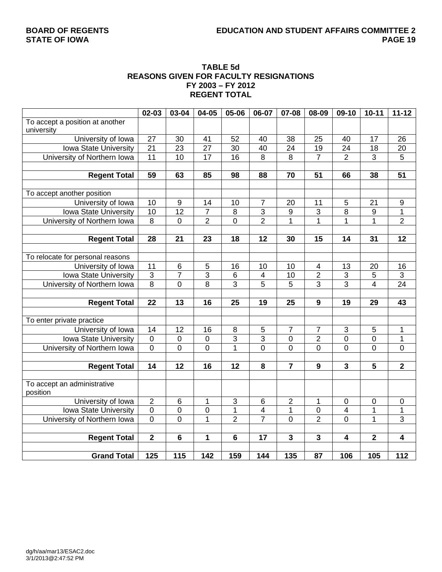# **STATE OF IOWA**

## **TABLE 5d REASONS GIVEN FOR FACULTY RESIGNATIONS FY 2003 – FY 2012 REGENT TOTAL**

|                                  | 02-03                   | 03-04                   | 04-05          | 05-06                     | 06-07                   | 07-08                   | 08-09                   | 09-10                   | $10 - 11$        | $11 - 12$                 |
|----------------------------------|-------------------------|-------------------------|----------------|---------------------------|-------------------------|-------------------------|-------------------------|-------------------------|------------------|---------------------------|
| To accept a position at another  |                         |                         |                |                           |                         |                         |                         |                         |                  |                           |
| university                       |                         |                         |                |                           |                         |                         |                         |                         |                  |                           |
| University of Iowa               | 27                      | 30                      | 41             | 52                        | 40                      | 38                      | 25                      | 40                      | 17               | 26                        |
| Iowa State University            | 21                      | 23                      | 27             | 30                        | 40                      | 24                      | 19                      | 24                      | 18               | 20                        |
| University of Northern Iowa      | 11                      | 10                      | 17             | 16                        | $\overline{8}$          | $\overline{8}$          | $\overline{7}$          | $\overline{2}$          | $\overline{3}$   | $\overline{5}$            |
|                                  |                         |                         |                |                           |                         |                         |                         |                         |                  |                           |
| <b>Regent Total</b>              | 59                      | 63                      | 85             | 98                        | 88                      | 70                      | 51                      | 66                      | 38               | 51                        |
|                                  |                         |                         |                |                           |                         |                         |                         |                         |                  |                           |
| To accept another position       |                         |                         |                |                           |                         |                         |                         |                         |                  |                           |
| University of Iowa               | 10                      | 9                       | 14             | 10                        | $\overline{7}$          | 20                      | 11                      | 5                       | 21               | 9                         |
| Iowa State University            | 10                      | $\overline{12}$         | $\overline{7}$ | 8                         | $\overline{3}$          | $\overline{9}$          | 3                       | $\overline{8}$          | 9                | $\overline{1}$            |
| University of Northern Iowa      | 8                       | $\overline{0}$          | $\overline{2}$ | $\overline{0}$            | $\overline{2}$          | $\mathbf{1}$            | 1                       | 1                       | $\mathbf{1}$     | $\overline{2}$            |
|                                  |                         |                         |                |                           |                         |                         |                         |                         |                  |                           |
| <b>Regent Total</b>              | 28                      | 21                      | 23             | 18                        | 12                      | 30                      | 15                      | 14                      | 31               | 12                        |
|                                  |                         |                         |                |                           |                         |                         |                         |                         |                  |                           |
| To relocate for personal reasons |                         |                         |                |                           |                         |                         |                         |                         |                  |                           |
| University of Iowa               | 11                      | 6                       | 5              | 16                        | 10                      | 10                      | 4                       | 13                      | 20               | 16                        |
| Iowa State University            | $\overline{3}$          | $\overline{7}$          | $\overline{3}$ | 6                         | $\overline{4}$          | 10                      | $\overline{2}$          | 3                       | $\sqrt{5}$       | $\ensuremath{\mathsf{3}}$ |
| University of Northern Iowa      | $\overline{8}$          | 0                       | $\overline{8}$ | 3                         | 5                       | 5                       | 3                       | $\overline{3}$          | $\overline{4}$   | $\overline{24}$           |
|                                  |                         |                         |                |                           |                         |                         |                         |                         |                  |                           |
| <b>Regent Total</b>              | 22                      | 13                      | 16             | 25                        | 19                      | 25                      | $\boldsymbol{9}$        | 19                      | 29               | 43                        |
|                                  |                         |                         |                |                           |                         |                         |                         |                         |                  |                           |
| To enter private practice        |                         |                         |                |                           |                         |                         |                         |                         |                  |                           |
| University of Iowa               | 14                      | 12                      | 16             | 8                         | 5                       | $\overline{7}$          | $\overline{7}$          | 3                       | 5                | 1                         |
| Iowa State University            | $\boldsymbol{0}$        | $\mathbf 0$             | $\mathbf 0$    | 3                         | $\overline{3}$          | $\mathbf 0$             | $\overline{2}$          | 0                       | $\mathbf 0$      | 1                         |
| University of Northern Iowa      | $\mathbf 0$             | $\overline{0}$          | 0              | 1                         | $\overline{0}$          | $\overline{0}$          | 0                       | 0                       | $\overline{0}$   | $\mathbf 0$               |
|                                  |                         |                         |                |                           |                         |                         |                         |                         |                  |                           |
| <b>Regent Total</b>              | 14                      | 12                      | 16             | 12                        | 8                       | $\overline{7}$          | 9                       | $\overline{\mathbf{3}}$ | $\overline{5}$   | $\overline{\mathbf{2}}$   |
|                                  |                         |                         |                |                           |                         |                         |                         |                         |                  |                           |
| To accept an administrative      |                         |                         |                |                           |                         |                         |                         |                         |                  |                           |
| position                         |                         |                         |                |                           |                         |                         |                         |                         |                  |                           |
| University of Iowa               | $\boldsymbol{2}$        | $\,6$                   | 1              | $\ensuremath{\mathsf{3}}$ | $\,6$                   | $\overline{c}$          | 1                       | $\pmb{0}$               | $\boldsymbol{0}$ | $\pmb{0}$                 |
| Iowa State University            | $\overline{0}$          | $\mathbf 0$             | $\overline{0}$ | $\mathbf 1$               | $\overline{\mathbf{4}}$ | $\mathbf 1$             | 0                       | 4                       | 1                | $\mathbf 1$               |
| University of Northern Iowa      | $\overline{0}$          | $\overline{0}$          | $\overline{1}$ | $\overline{2}$            | $\overline{7}$          | $\overline{0}$          | $\overline{2}$          | $\overline{0}$          | $\overline{1}$   | $\overline{3}$            |
|                                  |                         |                         |                |                           |                         |                         |                         |                         |                  |                           |
| <b>Regent Total</b>              | $\overline{\mathbf{2}}$ | $\overline{\mathbf{6}}$ | 1              | $6\phantom{1}$            | $\overline{17}$         | $\overline{\mathbf{3}}$ | $\overline{\mathbf{3}}$ | 4                       | $\overline{2}$   | $\overline{4}$            |
|                                  |                         |                         |                |                           |                         |                         |                         |                         |                  |                           |
| <b>Grand Total</b>               | 125                     | 115                     | 142            | 159                       | 144                     | 135                     | 87                      | 106                     | 105              | 112                       |